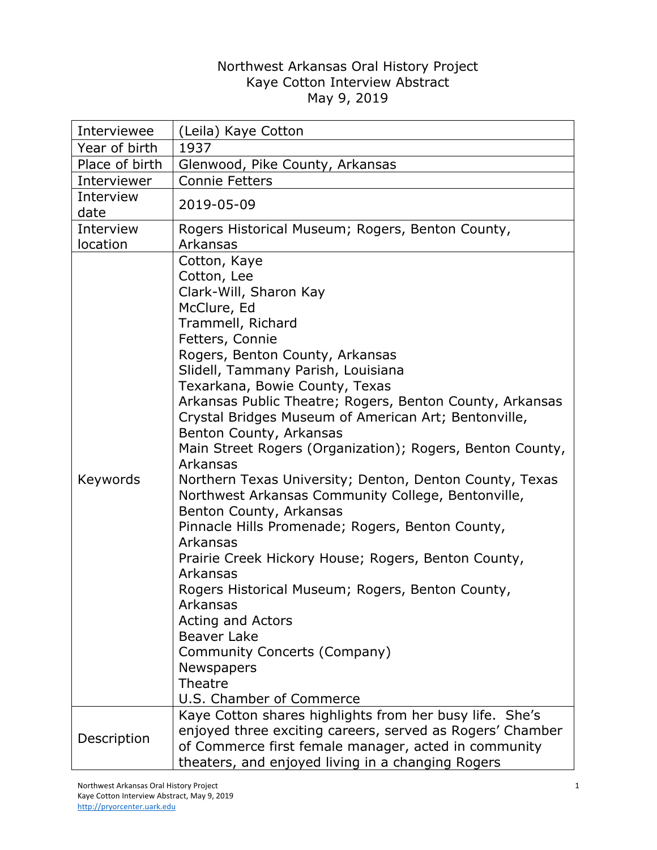## Northwest Arkansas Oral History Project Kaye Cotton Interview Abstract May 9, 2019

| Interviewee    | (Leila) Kaye Cotton                                                                                                                                                                                                                                                                                                                                                                                                                                                                                                                                                                                                                                                                                                                                                                                                                                                       |
|----------------|---------------------------------------------------------------------------------------------------------------------------------------------------------------------------------------------------------------------------------------------------------------------------------------------------------------------------------------------------------------------------------------------------------------------------------------------------------------------------------------------------------------------------------------------------------------------------------------------------------------------------------------------------------------------------------------------------------------------------------------------------------------------------------------------------------------------------------------------------------------------------|
| Year of birth  | 1937                                                                                                                                                                                                                                                                                                                                                                                                                                                                                                                                                                                                                                                                                                                                                                                                                                                                      |
| Place of birth | Glenwood, Pike County, Arkansas                                                                                                                                                                                                                                                                                                                                                                                                                                                                                                                                                                                                                                                                                                                                                                                                                                           |
| Interviewer    | <b>Connie Fetters</b>                                                                                                                                                                                                                                                                                                                                                                                                                                                                                                                                                                                                                                                                                                                                                                                                                                                     |
| Interview      | 2019-05-09                                                                                                                                                                                                                                                                                                                                                                                                                                                                                                                                                                                                                                                                                                                                                                                                                                                                |
| date           |                                                                                                                                                                                                                                                                                                                                                                                                                                                                                                                                                                                                                                                                                                                                                                                                                                                                           |
| Interview      | Rogers Historical Museum; Rogers, Benton County,                                                                                                                                                                                                                                                                                                                                                                                                                                                                                                                                                                                                                                                                                                                                                                                                                          |
| location       | Arkansas                                                                                                                                                                                                                                                                                                                                                                                                                                                                                                                                                                                                                                                                                                                                                                                                                                                                  |
| Keywords       | Cotton, Kaye<br>Cotton, Lee<br>Clark-Will, Sharon Kay<br>McClure, Ed<br>Trammell, Richard<br>Fetters, Connie<br>Rogers, Benton County, Arkansas<br>Slidell, Tammany Parish, Louisiana<br>Texarkana, Bowie County, Texas<br>Arkansas Public Theatre; Rogers, Benton County, Arkansas<br>Crystal Bridges Museum of American Art; Bentonville,<br>Benton County, Arkansas<br>Main Street Rogers (Organization); Rogers, Benton County,<br>Arkansas<br>Northern Texas University; Denton, Denton County, Texas<br>Northwest Arkansas Community College, Bentonville,<br>Benton County, Arkansas<br>Pinnacle Hills Promenade; Rogers, Benton County,<br>Arkansas<br>Prairie Creek Hickory House; Rogers, Benton County,<br>Arkansas<br>Rogers Historical Museum; Rogers, Benton County,<br>Arkansas<br>Acting and Actors<br><b>Beaver Lake</b><br>Community Concerts (Company) |
|                | Newspapers                                                                                                                                                                                                                                                                                                                                                                                                                                                                                                                                                                                                                                                                                                                                                                                                                                                                |
|                | Theatre                                                                                                                                                                                                                                                                                                                                                                                                                                                                                                                                                                                                                                                                                                                                                                                                                                                                   |
|                | U.S. Chamber of Commerce                                                                                                                                                                                                                                                                                                                                                                                                                                                                                                                                                                                                                                                                                                                                                                                                                                                  |
| Description    | Kaye Cotton shares highlights from her busy life. She's<br>enjoyed three exciting careers, served as Rogers' Chamber<br>of Commerce first female manager, acted in community<br>theaters, and enjoyed living in a changing Rogers                                                                                                                                                                                                                                                                                                                                                                                                                                                                                                                                                                                                                                         |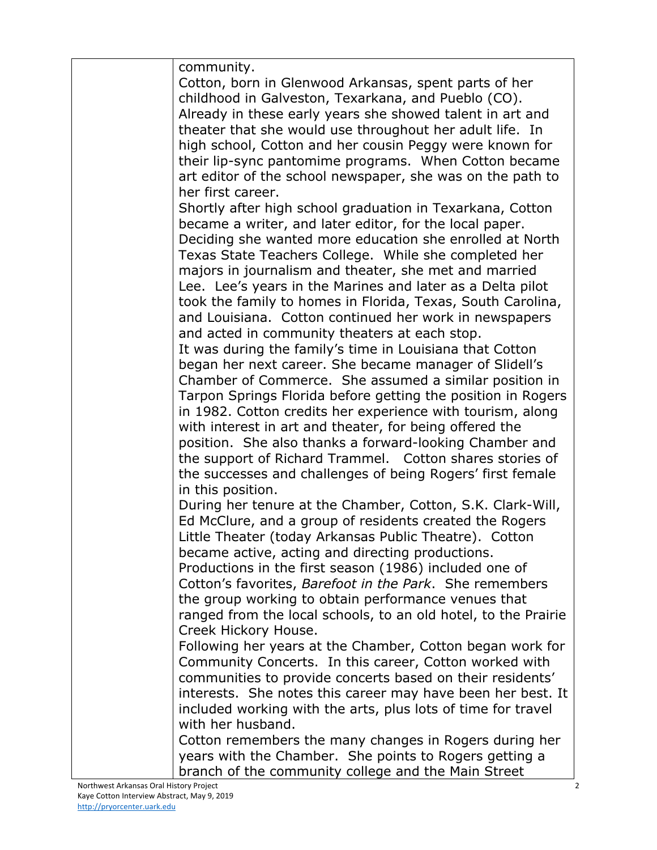| community.                                                     |
|----------------------------------------------------------------|
| Cotton, born in Glenwood Arkansas, spent parts of her          |
| childhood in Galveston, Texarkana, and Pueblo (CO).            |
| Already in these early years she showed talent in art and      |
| theater that she would use throughout her adult life. In       |
| high school, Cotton and her cousin Peggy were known for        |
| their lip-sync pantomime programs. When Cotton became          |
| art editor of the school newspaper, she was on the path to     |
| her first career.                                              |
| Shortly after high school graduation in Texarkana, Cotton      |
| became a writer, and later editor, for the local paper.        |
| Deciding she wanted more education she enrolled at North       |
| Texas State Teachers College. While she completed her          |
| majors in journalism and theater, she met and married          |
| Lee. Lee's years in the Marines and later as a Delta pilot     |
| took the family to homes in Florida, Texas, South Carolina,    |
| and Louisiana. Cotton continued her work in newspapers         |
| and acted in community theaters at each stop.                  |
| It was during the family's time in Louisiana that Cotton       |
| began her next career. She became manager of Slidell's         |
| Chamber of Commerce. She assumed a similar position in         |
| Tarpon Springs Florida before getting the position in Rogers   |
| in 1982. Cotton credits her experience with tourism, along     |
| with interest in art and theater, for being offered the        |
| position. She also thanks a forward-looking Chamber and        |
| the support of Richard Trammel. Cotton shares stories of       |
| the successes and challenges of being Rogers' first female     |
| in this position.                                              |
| During her tenure at the Chamber, Cotton, S.K. Clark-Will,     |
| Ed McClure, and a group of residents created the Rogers        |
| Little Theater (today Arkansas Public Theatre). Cotton         |
| became active, acting and directing productions.               |
| Productions in the first season (1986) included one of         |
| Cotton's favorites, Barefoot in the Park. She remembers        |
| the group working to obtain performance venues that            |
| ranged from the local schools, to an old hotel, to the Prairie |
| Creek Hickory House.                                           |
| Following her years at the Chamber, Cotton began work for      |
| Community Concerts. In this career, Cotton worked with         |
| communities to provide concerts based on their residents'      |
| interests. She notes this career may have been her best. It    |
| included working with the arts, plus lots of time for travel   |
| with her husband.                                              |
| Cotton remembers the many changes in Rogers during her         |
| years with the Chamber. She points to Rogers getting a         |
| branch of the community college and the Main Street            |